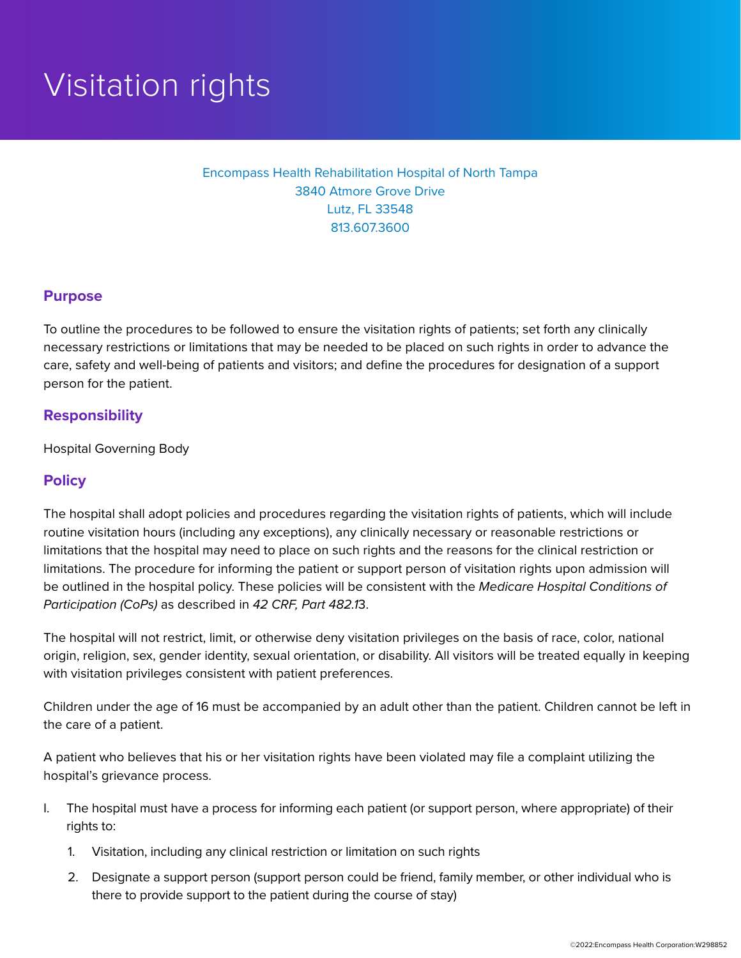# Visitation rights

### Encompass Health Rehabilitation Hospital of North Tampa 3840 Atmore Grove Drive Lutz, FL 33548 813.607.3600

#### **Purpose**

To outline the procedures to be followed to ensure the visitation rights of patients; set forth any clinically necessary restrictions or limitations that may be needed to be placed on such rights in order to advance the care, safety and well-being of patients and visitors; and define the procedures for designation of a support person for the patient.

#### **Responsibility**

Hospital Governing Body

#### **Policy**

The hospital shall adopt policies and procedures regarding the visitation rights of patients, which will include routine visitation hours (including any exceptions), any clinically necessary or reasonable restrictions or limitations that the hospital may need to place on such rights and the reasons for the clinical restriction or limitations. The procedure for informing the patient or support person of visitation rights upon admission will be outlined in the hospital policy. These policies will be consistent with the *Medicare Hospital Conditions of Participation (CoPs)* as described in *42 CRF, Part 482.1*3.

The hospital will not restrict, limit, or otherwise deny visitation privileges on the basis of race, color, national origin, religion, sex, gender identity, sexual orientation, or disability. All visitors will be treated equally in keeping with visitation privileges consistent with patient preferences.

Children under the age of 16 must be accompanied by an adult other than the patient. Children cannot be left in the care of a patient.

A patient who believes that his or her visitation rights have been violated may file a complaint utilizing the hospital's grievance process.

- I. The hospital must have a process for informing each patient (or support person, where appropriate) of their rights to:
	- 1. Visitation, including any clinical restriction or limitation on such rights
	- 2. Designate a support person (support person could be friend, family member, or other individual who is there to provide support to the patient during the course of stay)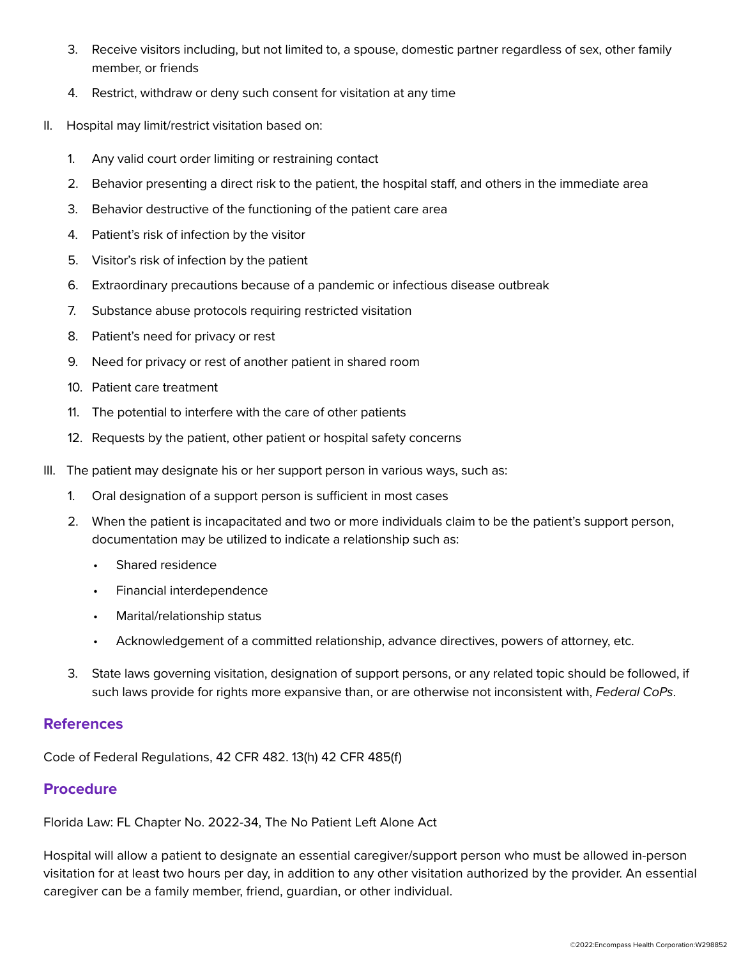- 3. Receive visitors including, but not limited to, a spouse, domestic partner regardless of sex, other family member, or friends
- 4. Restrict, withdraw or deny such consent for visitation at any time
- II. Hospital may limit/restrict visitation based on:
	- 1. Any valid court order limiting or restraining contact
	- 2. Behavior presenting a direct risk to the patient, the hospital staff, and others in the immediate area
	- 3. Behavior destructive of the functioning of the patient care area
	- 4. Patient's risk of infection by the visitor
	- 5. Visitor's risk of infection by the patient
	- 6. Extraordinary precautions because of a pandemic or infectious disease outbreak
	- 7. Substance abuse protocols requiring restricted visitation
	- 8. Patient's need for privacy or rest
	- 9. Need for privacy or rest of another patient in shared room
	- 10. Patient care treatment
	- 11. The potential to interfere with the care of other patients
	- 12. Requests by the patient, other patient or hospital safety concerns
- III. The patient may designate his or her support person in various ways, such as:
	- 1. Oral designation of a support person is sufficient in most cases
	- 2. When the patient is incapacitated and two or more individuals claim to be the patient's support person, documentation may be utilized to indicate a relationship such as:
		- Shared residence
		- Financial interdependence
		- Marital/relationship status
		- Acknowledgement of a committed relationship, advance directives, powers of attorney, etc.
	- 3. State laws governing visitation, designation of support persons, or any related topic should be followed, if such laws provide for rights more expansive than, or are otherwise not inconsistent with, *Federal CoPs*.

#### **References**

Code of Federal Regulations, 42 CFR 482. 13(h) 42 CFR 485(f)

## **Procedure**

Florida Law: FL Chapter No. 2022-34, The No Patient Left Alone Act

Hospital will allow a patient to designate an essential caregiver/support person who must be allowed in-person visitation for at least two hours per day, in addition to any other visitation authorized by the provider. An essential caregiver can be a family member, friend, guardian, or other individual.